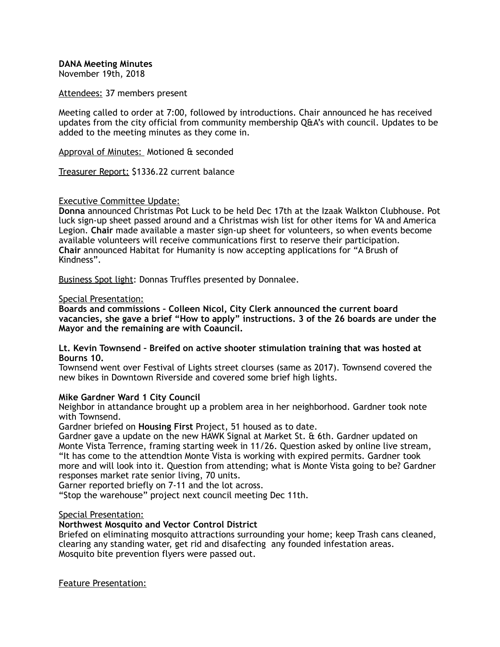**DANA Meeting Minutes** 

November 19th, 2018

Attendees: 37 members present

Meeting called to order at 7:00, followed by introductions. Chair announced he has received updates from the city official from community membership Q&A's with council. Updates to be added to the meeting minutes as they come in.

Approval of Minutes: Motioned & seconded

Treasurer Report: \$1336.22 current balance

# Executive Committee Update:

**Donna** announced Christmas Pot Luck to be held Dec 17th at the Izaak Walkton Clubhouse. Pot luck sign-up sheet passed around and a Christmas wish list for other items for VA and America Legion. **Chair** made available a master sign-up sheet for volunteers, so when events become available volunteers will receive communications first to reserve their participation. **Chair** announced Habitat for Humanity is now accepting applications for "A Brush of Kindness".

Business Spot light: Donnas Truffles presented by Donnalee.

#### Special Presentation:

**Boards and commissions – Colleen Nicol, City Clerk announced the current board vacancies, she gave a brief "How to apply" instructions. 3 of the 26 boards are under the Mayor and the remaining are with Coauncil.** 

#### **Lt. Kevin Townsend – Breifed on active shooter stimulation training that was hosted at Bourns 10.**

Townsend went over Festival of Lights street clourses (same as 2017). Townsend covered the new bikes in Downtown Riverside and covered some brief high lights.

# **Mike Gardner Ward 1 City Council**

Neighbor in attandance brought up a problem area in her neighborhood. Gardner took note with Townsend.

Gardner briefed on **Housing First** Project, 51 housed as to date.

Gardner gave a update on the new HAWK Signal at Market St. & 6th. Gardner updated on Monte Vista Terrence, framing starting week in 11/26. Question asked by online live stream, "It has come to the attendtion Monte Vista is working with expired permits. Gardner took more and will look into it. Question from attending; what is Monte Vista going to be? Gardner responses market rate senior living, 70 units.

Garner reported briefly on 7-11 and the lot across.

"Stop the warehouse" project next council meeting Dec 11th.

#### Special Presentation:

# **Northwest Mosquito and Vector Control District**

Briefed on eliminating mosquito attractions surrounding your home; keep Trash cans cleaned, clearing any standing water, get rid and disafecting any founded infestation areas. Mosquito bite prevention flyers were passed out.

Feature Presentation: